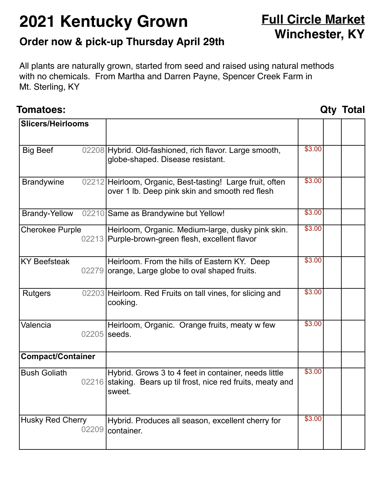# **2021 Kentucky Grown**

## **Full Circle Market Winchester, KY**

## **Order now & pick-up Thursday April 29th**

All plants are naturally grown, started from seed and raised using natural methods with no chemicals. From Martha and Darren Payne, Spencer Creek Farm in Mt. Sterling, KY

### **Tomatoes: Qty Total**

| <b>Slicers/Heirlooms</b> |       |                                                                                                                           |        |  |
|--------------------------|-------|---------------------------------------------------------------------------------------------------------------------------|--------|--|
|                          |       |                                                                                                                           |        |  |
| <b>Big Beef</b>          |       | 02208 Hybrid. Old-fashioned, rich flavor. Large smooth,<br>globe-shaped. Disease resistant.                               | \$3.00 |  |
| <b>Brandywine</b>        |       | 02212 Heirloom, Organic, Best-tasting! Large fruit, often<br>over 1 lb. Deep pink skin and smooth red flesh               | \$3.00 |  |
| <b>Brandy-Yellow</b>     |       | 02210 Same as Brandywine but Yellow!                                                                                      | \$3.00 |  |
| <b>Cherokee Purple</b>   |       | Heirloom, Organic. Medium-large, dusky pink skin.<br>02213 Purple-brown-green flesh, excellent flavor                     | \$3.00 |  |
| <b>KY Beefsteak</b>      |       | Heirloom. From the hills of Eastern KY. Deep<br>02279 orange, Large globe to oval shaped fruits.                          | \$3.00 |  |
| <b>Rutgers</b>           |       | 02203 Heirloom. Red Fruits on tall vines, for slicing and<br>cooking.                                                     | \$3.00 |  |
| Valencia                 |       | Heirloom, Organic. Orange fruits, meaty w few<br>$02205$ seeds.                                                           | \$3.00 |  |
| <b>Compact/Container</b> |       |                                                                                                                           |        |  |
| <b>Bush Goliath</b>      | 02216 | Hybrid. Grows 3 to 4 feet in container, needs little<br>staking. Bears up til frost, nice red fruits, meaty and<br>sweet. | \$3.00 |  |
| <b>Husky Red Cherry</b>  | 02209 | Hybrid. Produces all season, excellent cherry for<br>container.                                                           | \$3.00 |  |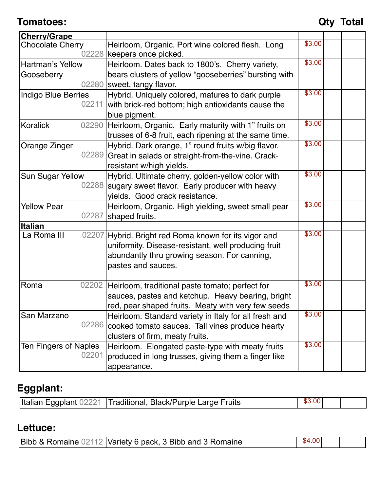**Tomatoes: Qty Total**

| <b>Cherry/Grape</b>          |                                                                                  |        |  |
|------------------------------|----------------------------------------------------------------------------------|--------|--|
| <b>Chocolate Cherry</b>      | Heirloom, Organic. Port wine colored flesh. Long<br>02228   keepers once picked. | \$3.00 |  |
| <b>Hartman's Yellow</b>      | Heirloom. Dates back to 1800's. Cherry variety,                                  | \$3.00 |  |
| Gooseberry                   | bears clusters of yellow "gooseberries" bursting with                            |        |  |
|                              | 02280 sweet, tangy flavor.                                                       |        |  |
| <b>Indigo Blue Berries</b>   | Hybrid. Uniquely colored, matures to dark purple                                 | \$3.00 |  |
| 02211                        | with brick-red bottom; high antioxidants cause the                               |        |  |
|                              | blue pigment.                                                                    |        |  |
| <b>Koralick</b><br>02290     | Heirloom, Organic. Early maturity with 1" fruits on                              | \$3.00 |  |
|                              | trusses of 6-8 fruit, each ripening at the same time.                            |        |  |
| Orange Zinger                | Hybrid. Dark orange, 1" round fruits w/big flavor.                               | \$3.00 |  |
|                              | 02289 Great in salads or straight-from-the-vine. Crack-                          |        |  |
|                              | resistant w/high yields.                                                         |        |  |
| <b>Sun Sugar Yellow</b>      | Hybrid. Ultimate cherry, golden-yellow color with                                | \$3.00 |  |
|                              | 02288 sugary sweet flavor. Early producer with heavy                             |        |  |
|                              | yields. Good crack resistance.                                                   |        |  |
| <b>Yellow Pear</b>           | Heirloom, Organic. High yielding, sweet small pear                               | \$3.00 |  |
| 02287                        | shaped fruits.                                                                   |        |  |
| <b>Italian</b>               |                                                                                  |        |  |
| La Roma III<br>02207         | Hybrid. Bright red Roma known for its vigor and                                  | \$3.00 |  |
|                              | uniformity. Disease-resistant, well producing fruit                              |        |  |
|                              | abundantly thru growing season. For canning,                                     |        |  |
|                              | pastes and sauces.                                                               |        |  |
|                              |                                                                                  | \$3.00 |  |
| Roma<br>02202                | Heirloom, traditional paste tomato; perfect for                                  |        |  |
|                              | sauces, pastes and ketchup. Heavy bearing, bright                                |        |  |
| San Marzano                  | red, pear shaped fruits. Meaty with very few seeds                               | \$3.00 |  |
| 02286                        | Heirloom. Standard variety in Italy for all fresh and                            |        |  |
|                              | cooked tomato sauces. Tall vines produce hearty                                  |        |  |
| <b>Ten Fingers of Naples</b> | clusters of firm, meaty fruits.                                                  | \$3.00 |  |
| 02201                        | Heirloom. Elongated paste-type with meaty fruits                                 |        |  |
|                              | produced in long trusses, giving them a finger like                              |        |  |
|                              | appearance.                                                                      |        |  |

## **Eggplant:**

|  | Italian Eggplant 02221   Traditional, Black/Purple Large Fruits | \$3.00 |  |  |
|--|-----------------------------------------------------------------|--------|--|--|
|--|-----------------------------------------------------------------|--------|--|--|

### **Lettuce:**

| Bibb & Romaine 02112 Variety 6 pack, 3 Bibb and 3 Romaine | \$4.00 |  |
|-----------------------------------------------------------|--------|--|
|-----------------------------------------------------------|--------|--|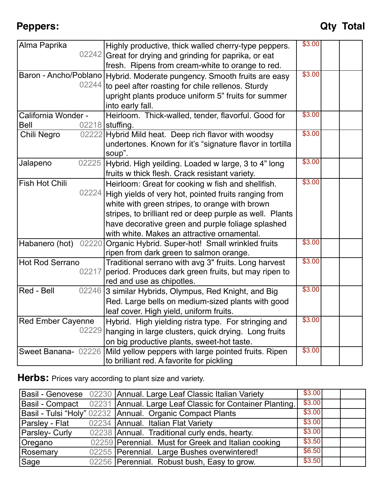## **Peppers: Qty Total**

| Alma Paprika             |       | Highly productive, thick walled cherry-type peppers.                      | \$3.00 |  |
|--------------------------|-------|---------------------------------------------------------------------------|--------|--|
|                          |       | 02242 Great for drying and grinding for paprika, or eat                   |        |  |
|                          |       | fresh. Ripens from cream-white to orange to red.                          |        |  |
|                          |       | Baron - Ancho/Poblano   Hybrid. Moderate pungency. Smooth fruits are easy | \$3.00 |  |
|                          |       | 02244 to peel after roasting for chile rellenos. Sturdy                   |        |  |
|                          |       | upright plants produce uniform 5" fruits for summer                       |        |  |
|                          |       | into early fall.                                                          |        |  |
| California Wonder -      |       | Heirloom. Thick-walled, tender, flavorful. Good for                       | \$3.00 |  |
| <b>Bell</b>              |       | 02218 stuffing.                                                           |        |  |
| Chili Negro              |       | 02222 Hybrid Mild heat. Deep rich flavor with woodsy                      | \$3.00 |  |
|                          |       | undertones. Known for it's "signature flavor in tortilla                  |        |  |
|                          |       | soup".                                                                    |        |  |
| Jalapeno                 | 02225 | Hybrid. High yeilding. Loaded w large, 3 to 4" long                       | \$3.00 |  |
|                          |       | fruits w thick flesh. Crack resistant variety.                            |        |  |
| <b>Fish Hot Chili</b>    |       | Heirloom: Great for cooking w fish and shellfish.                         | \$3.00 |  |
|                          |       | 02224 High yields of very hot, pointed fruits ranging from                |        |  |
|                          |       | white with green stripes, to orange with brown                            |        |  |
|                          |       | stripes, to brilliant red or deep purple as well. Plants                  |        |  |
|                          |       | have decorative green and purple foliage splashed                         |        |  |
|                          |       | with white. Makes an attractive ornamental.                               |        |  |
| Habanero (hot)           | 02220 | Organic Hybrid. Super-hot! Small wrinkled fruits                          | \$3.00 |  |
|                          |       | ripen from dark green to salmon orange.                                   |        |  |
| <b>Hot Rod Serrano</b>   |       | Traditional serrano with avg 3" fruits. Long harvest                      | \$3.00 |  |
|                          | 02217 | period. Produces dark green fruits, but may ripen to                      |        |  |
| Red - Bell               | 02246 | red and use as chipotles.                                                 | \$3.00 |  |
|                          |       | 3 similar Hybrids, Olympus, Red Knight, and Big                           |        |  |
|                          |       | Red. Large bells on medium-sized plants with good                         |        |  |
|                          |       | leaf cover. High yield, uniform fruits.                                   | \$3.00 |  |
| <b>Red Ember Cayenne</b> | 02229 | Hybrid. High yielding ristra type. For stringing and                      |        |  |
|                          |       | hanging in large clusters, quick drying. Long fruits                      |        |  |
|                          |       | on big productive plants, sweet-hot taste.                                |        |  |
| Sweet Banana-02226       |       | Mild yellow peppers with large pointed fruits. Ripen                      | \$3.00 |  |
|                          |       | to brilliant red. A favorite for pickling                                 |        |  |

**Herbs:** Prices vary according to plant size and variety.

|                       | Basil - Genovese 02230 Annual. Large Leaf Classic Italian Variety        | \$3.00 |  |
|-----------------------|--------------------------------------------------------------------------|--------|--|
|                       | Basil - Compact 02231 Annual. Large Leaf Classic for Container Planting. | \$3.00 |  |
|                       | Basil - Tulsi "Holy" 02232 Annual. Organic Compact Plants                | \$3.00 |  |
|                       | Parsley - Flat 02234 Annual. Italian Flat Variety                        | \$3.00 |  |
| <b>Parsley- Curly</b> | 02238 Annual. Traditional curly ends, hearty.                            | \$3.00 |  |
| <b>Oregano</b>        | 02259 Perennial. Must for Greek and Italian cooking                      | \$3.50 |  |
| Rosemary              | 02255   Perennial. Large Bushes overwintered!                            | \$6.50 |  |
| Sage                  | 02256 Perennial. Robust bush, Easy to grow.                              | \$3.50 |  |